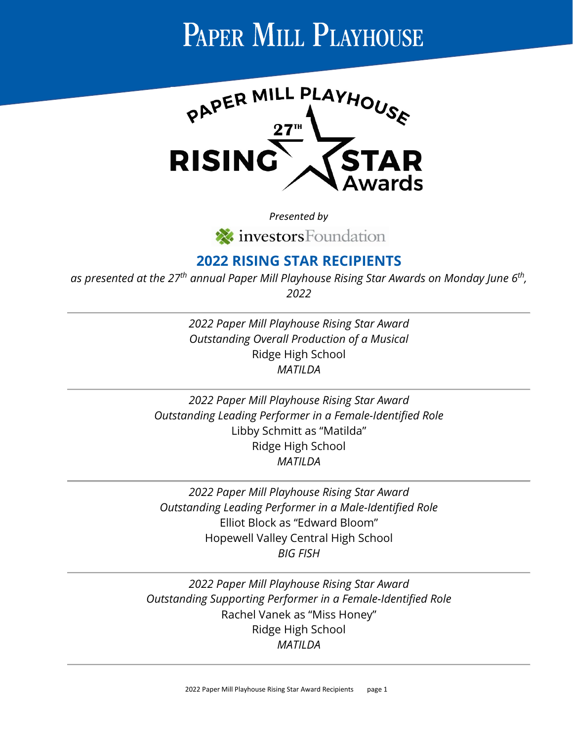

*Presented by* investors Foundation

#### **2022 RISING STAR RECIPIENTS**

*as presented at the 27th annual Paper Mill Playhouse Rising Star Awards on Monday June 6th, 2022*

> *2022 Paper Mill Playhouse Rising Star Award Outstanding Overall Production of a Musical* Ridge High School *MATILDA*

*2022 Paper Mill Playhouse Rising Star Award Outstanding Leading Performer in a Female-Identified Role* Libby Schmitt as "Matilda" Ridge High School *MATILDA*

*2022 Paper Mill Playhouse Rising Star Award Outstanding Leading Performer in a Male-Identified Role* Elliot Block as "Edward Bloom" Hopewell Valley Central High School *BIG FISH*

*2022 Paper Mill Playhouse Rising Star Award Outstanding Supporting Performer in a Female-Identified Role* Rachel Vanek as "Miss Honey" Ridge High School *MATILDA*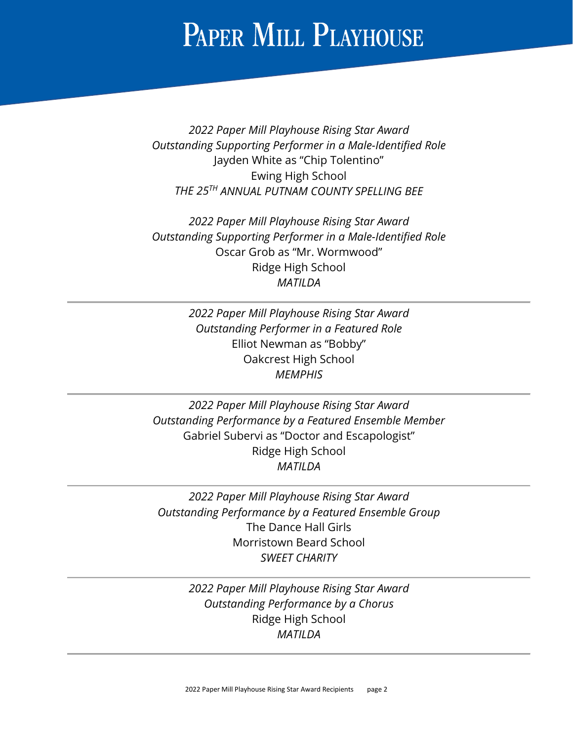*2022 Paper Mill Playhouse Rising Star Award Outstanding Supporting Performer in a Male-Identified Role* Jayden White as "Chip Tolentino" Ewing High School *THE 25TH ANNUAL PUTNAM COUNTY SPELLING BEE*

*2022 Paper Mill Playhouse Rising Star Award Outstanding Supporting Performer in a Male-Identified Role* Oscar Grob as "Mr. Wormwood" Ridge High School *MATILDA*

> *2022 Paper Mill Playhouse Rising Star Award Outstanding Performer in a Featured Role* Elliot Newman as "Bobby" Oakcrest High School *MEMPHIS*

*2022 Paper Mill Playhouse Rising Star Award Outstanding Performance by a Featured Ensemble Member* Gabriel Subervi as "Doctor and Escapologist" Ridge High School *MATILDA*

*2022 Paper Mill Playhouse Rising Star Award Outstanding Performance by a Featured Ensemble Group* The Dance Hall Girls Morristown Beard School *SWEET CHARITY*

> *2022 Paper Mill Playhouse Rising Star Award Outstanding Performance by a Chorus* Ridge High School *MATILDA*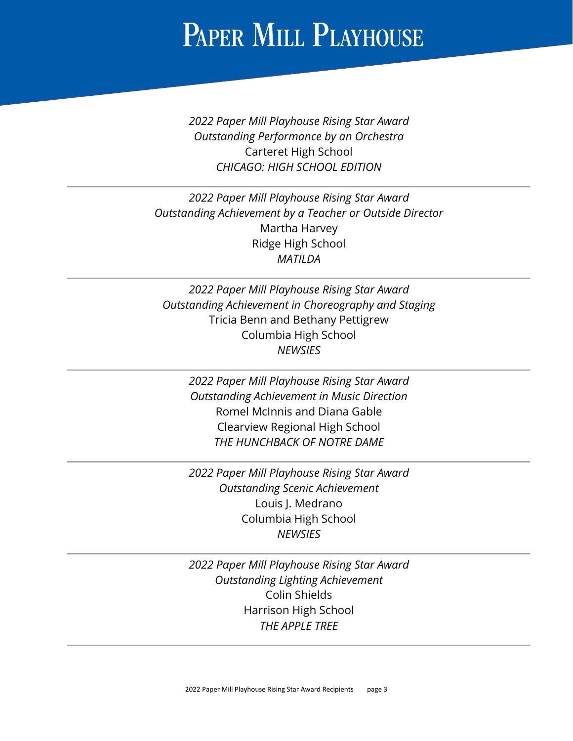*2022 Paper Mill Playhouse Rising Star Award Outstanding Performance by an Orchestra* Carteret High School *CHICAGO: HIGH SCHOOL EDITION*

*2022 Paper Mill Playhouse Rising Star Award Outstanding Achievement by a Teacher or Outside Director* Martha Harvey Ridge High School *MATILDA*

*2022 Paper Mill Playhouse Rising Star Award Outstanding Achievement in Choreography and Staging* Tricia Benn and Bethany Pettigrew Columbia High School *NEWSIES*

> *2022 Paper Mill Playhouse Rising Star Award Outstanding Achievement in Music Direction*  Romel McInnis and Diana Gable Clearview Regional High School *THE HUNCHBACK OF NOTRE DAME*

> *2022 Paper Mill Playhouse Rising Star Award Outstanding Scenic Achievement*  Louis J. Medrano Columbia High School *NEWSIES*

> *2022 Paper Mill Playhouse Rising Star Award Outstanding Lighting Achievement*  Colin Shields Harrison High School *THE APPLE TREE*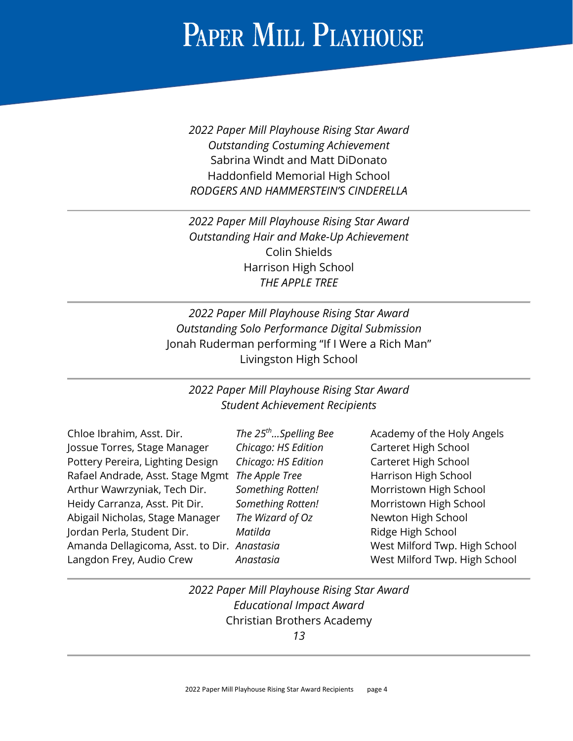*2022 Paper Mill Playhouse Rising Star Award Outstanding Costuming Achievement*  Sabrina Windt and Matt DiDonato Haddonfield Memorial High School *RODGERS AND HAMMERSTEIN'S CINDERELLA*

*2022 Paper Mill Playhouse Rising Star Award Outstanding Hair and Make-Up Achievement*  Colin Shields Harrison High School *THE APPLE TREE*

*2022 Paper Mill Playhouse Rising Star Award Outstanding Solo Performance Digital Submission*  Jonah Ruderman performing "If I Were a Rich Man" Livingston High School

#### *2022 Paper Mill Playhouse Rising Star Award Student Achievement Recipients*

| Chloe Ibrahim, Asst. Dir.                   | The $25th$ Spelling Bee | Academy of the Holy Angels    |
|---------------------------------------------|-------------------------|-------------------------------|
| Jossue Torres, Stage Manager                | Chicago: HS Edition     | Carteret High School          |
| Pottery Pereira, Lighting Design            | Chicago: HS Edition     | Carteret High School          |
| Rafael Andrade, Asst. Stage Mgmt            | The Apple Tree          | Harrison High School          |
| Arthur Wawrzyniak, Tech Dir.                | Something Rotten!       | Morristown High School        |
| Heidy Carranza, Asst. Pit Dir.              | Something Rotten!       | Morristown High School        |
| Abigail Nicholas, Stage Manager             | The Wizard of Oz        | Newton High School            |
| Jordan Perla, Student Dir.                  | Matilda                 | Ridge High School             |
| Amanda Dellagicoma, Asst. to Dir. Anastasia |                         | West Milford Twp. High School |
| Langdon Frey, Audio Crew                    | Anastasia               | West Milford Twp. High School |
|                                             |                         |                               |

*2022 Paper Mill Playhouse Rising Star Award Educational Impact Award* Christian Brothers Academy *13*